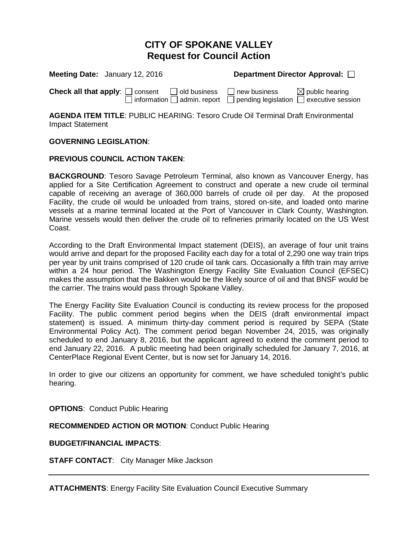### **CITY OF SPOKANE VALLEY Request for Council Action**

| <b>Meeting Date:</b> January 12, 2016                                               | Department Director Approval:                                                               |                            |
|-------------------------------------------------------------------------------------|---------------------------------------------------------------------------------------------|----------------------------|
| <b>Check all that apply:</b> $\Box$ consent $\Box$ old business $\Box$ new business | $\Box$ information $\Box$ admin. report $\Box$ pending legislation $\Box$ executive session | $\boxtimes$ public hearing |

**AGENDA ITEM TITLE**: PUBLIC HEARING: Tesoro Crude Oil Terminal Draft Environmental Impact Statement

### **GOVERNING LEGISLATION**:

### **PREVIOUS COUNCIL ACTION TAKEN**:

**BACKGROUND**: Tesoro Savage Petroleum Terminal, also known as Vancouver Energy, has applied for a Site Certification Agreement to construct and operate a new crude oil terminal capable of receiving an average of 360,000 barrels of crude oil per day. At the proposed Facility, the crude oil would be unloaded from trains, stored on-site, and loaded onto marine vessels at a marine terminal located at the Port of Vancouver in Clark County, Washington. Marine vessels would then deliver the crude oil to refineries primarily located on the US West Coast.

According to the Draft Environmental Impact statement (DEIS), an average of four unit trains would arrive and depart for the proposed Facility each day for a total of 2,290 one way train trips per year by unit trains comprised of 120 crude oil tank cars. Occasionally a fifth train may arrive within a 24 hour period. The Washington Energy Facility Site Evaluation Council (EFSEC) makes the assumption that the Bakken would be the likely source of oil and that BNSF would be the carrier. The trains would pass through Spokane Valley.

The Energy Facility Site Evaluation Council is conducting its review process for the proposed Facility. The public comment period begins when the DEIS (draft environmental impact statement) is issued. A minimum thirty-day comment period is required by SEPA (State Environmental Policy Act). The comment period began November 24, 2015, was originally scheduled to end January 8, 2016, but the applicant agreed to extend the comment period to end January 22, 2016. A public meeting had been originally scheduled for January 7, 2016, at CenterPlace Regional Event Center, but is now set for January 14, 2016.

In order to give our citizens an opportunity for comment, we have scheduled tonight's public hearing.

**OPTIONS**: Conduct Public Hearing

**RECOMMENDED ACTION OR MOTION**: Conduct Public Hearing

**BUDGET/FINANCIAL IMPACTS**:

**STAFF CONTACT**: City Manager Mike Jackson

**ATTACHMENTS**: Energy Facility Site Evaluation Council Executive Summary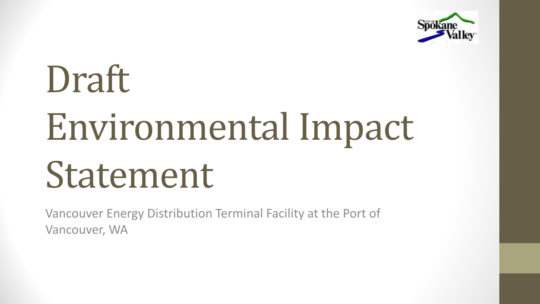

# Draft Environmental Impact Statement

Vancouver Energy Distribution Terminal Facility at the Port of Vancouver, WA

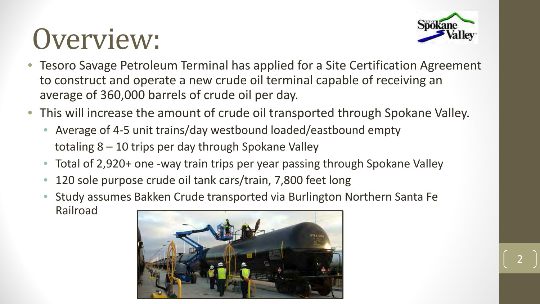### Overview:



- Tesoro Savage Petroleum Terminal has applied for a Site Certification Agreement to construct and operate a new crude oil terminal capable of receiving an average of 360,000 barrels of crude oil per day.
- This will increase the amount of crude oil transported through Spokane Valley.
	- Average of 4-5 unit trains/day westbound loaded/eastbound empty totaling 8 – 10 trips per day through Spokane Valley
	- Total of 2,920+ one -way train trips per year passing through Spokane Valley
	- 120 sole purpose crude oil tank cars/train, 7,800 feet long
	- Study assumes Bakken Crude transported via Burlington Northern Santa Fe Railroad



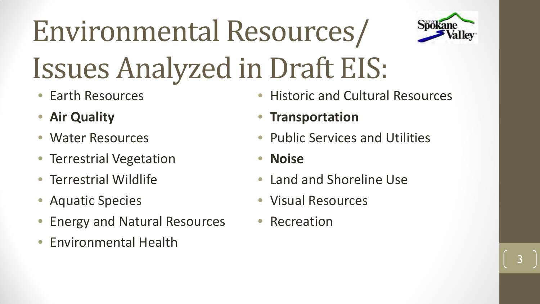## Environmental Resources/ Issues Analyzed in Draft EIS:

- Earth Resources
- **Air Quality**
- Water Resources
- Terrestrial Vegetation
- Terrestrial Wildlife
- Aquatic Species
- Energy and Natural Resources
- Environmental Health
- Historic and Cultural Resources
- **Transportation**
- Public Services and Utilities
- **Noise**
- Land and Shoreline Use
- Visual Resources
- Recreation



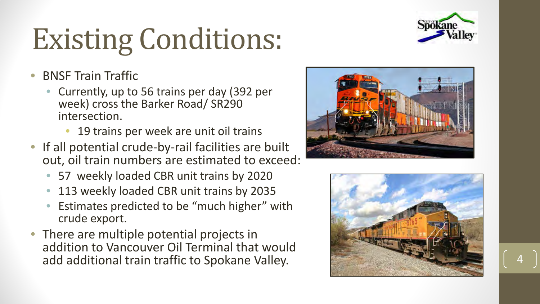### Existing Conditions:

- BNSF Train Traffic
	- Currently, up to 56 trains per day (392 per week) cross the Barker Road/ SR290 intersection.
		- 19 trains per week are unit oil trains
- If all potential crude-by-rail facilities are built out, oil train numbers are estimated to exceed:
	- 57 weekly loaded CBR unit trains by 2020
	- 113 weekly loaded CBR unit trains by 2035
	- Estimates predicted to be "much higher" with crude export.
- There are multiple potential projects in addition to Vancouver Oil Terminal that would add additional train traffic to Spokane Valley. 4









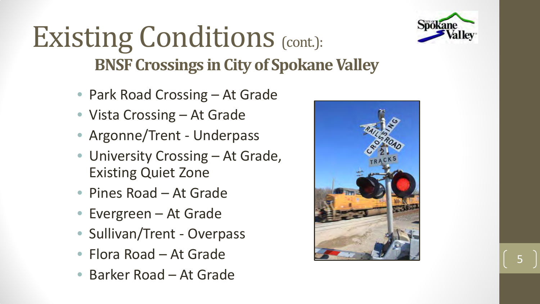

### Existing Conditions (cont.): **BNSF Crossings in City of Spokane Valley**

- Park Road Crossing At Grade
- Vista Crossing At Grade
- Argonne/Trent Underpass
- University Crossing At Grade, Existing Quiet Zone
- Pines Road At Grade
- Evergreen At Grade
- Sullivan/Trent Overpass
- Flora Road At Grade
- Barker Road At Grade





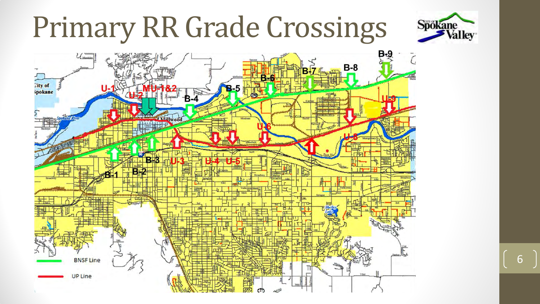### Primary RR Grade Crossings





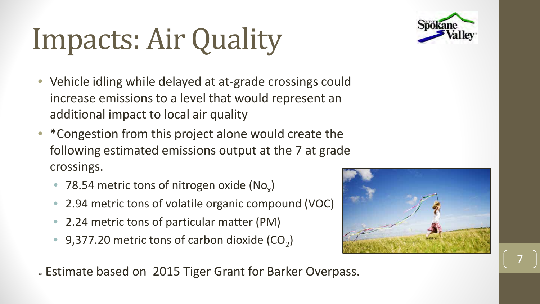

## Impacts: Air Quality

- Vehicle idling while delayed at at-grade crossings could increase emissions to a level that would represent an additional impact to local air quality
- \*Congestion from this project alone would create the following estimated emissions output at the 7 at grade crossings.
	- 78.54 metric tons of nitrogen oxide  $(No_x)$
	- 2.94 metric tons of volatile organic compound (VOC)
	- 2.24 metric tons of particular matter (PM)
	- 9,377.20 metric tons of carbon dioxide  $(CO<sub>2</sub>)$



\* Estimate based on 2015 Tiger Grant for Barker Overpass.



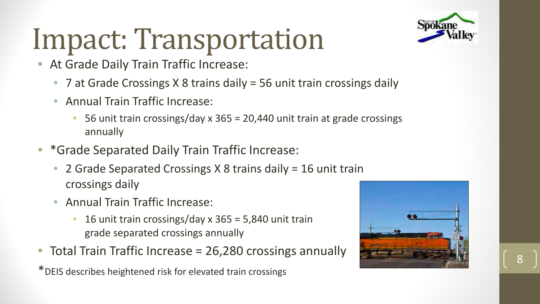

### Impact: Transportation

- At Grade Daily Train Traffic Increase:
	- 7 at Grade Crossings X 8 trains daily = 56 unit train crossings daily
	- Annual Train Traffic Increase:
		- 56 unit train crossings/day x 365 = 20,440 unit train at grade crossings annually
- \*Grade Separated Daily Train Traffic Increase:
	- 2 Grade Separated Crossings X 8 trains daily = 16 unit train crossings daily
	- Annual Train Traffic Increase:
		- 16 unit train crossings/day  $x$  365 = 5,840 unit train grade separated crossings annually
- Total Train Traffic Increase = 26,280 crossings annually

\*DEIS describes heightened risk for elevated train crossings





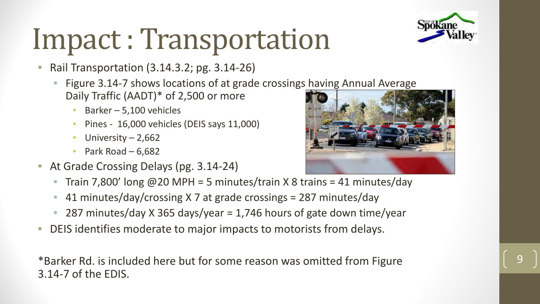## Impact : Transportation

- Rail Transportation (3.14.3.2; pg. 3.14-26)
	- Figure 3.14-7 shows locations of at grade crossings having Annual Average Daily Traffic (AADT)\* of 2,500 or more
		- Barker  $-$  5,100 vehicles
		- Pines 16,000 vehicles (DEIS says 11,000)
		- University  $2,662$
		- Park Road 6,682
- At Grade Crossing Delays (pg. 3.14-24)
	- Train 7,800' long  $@20$  MPH = 5 minutes/train X 8 trains = 41 minutes/day
	- 41 minutes/day/crossing X 7 at grade crossings = 287 minutes/day
	- 287 minutes/day X 365 days/year = 1,746 hours of gate down time/year
- DEIS identifies moderate to major impacts to motorists from delays.

\*Barker Rd. is included here but for some reason was omitted from Figure 3.14-7 of the EDIS.





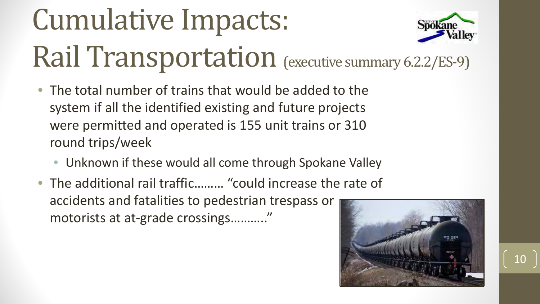## Cumulative Impacts: Rail Transportation (executive summary 6.2.2/ES-9)

- The total number of trains that would be added to the system if all the identified existing and future projects were permitted and operated is 155 unit trains or 310 round trips/week
	- Unknown if these would all come through Spokane Valley
- The additional rail traffic……… "could increase the rate of accidents and fatalities to pedestrian trespass or motorists at at-grade crossings……….."





### 10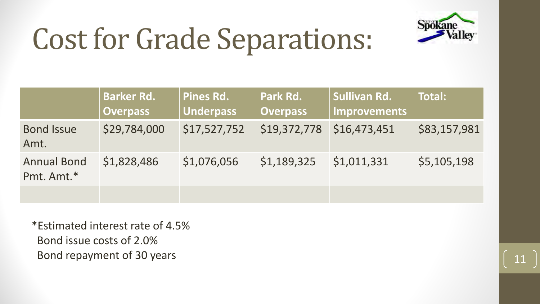

### Cost for Grade Separations:

### **Total:**

### $$3,157,981$

### \$5,105,198



|                                  | <b>Barker Rd.</b><br><b>Overpass</b> | Pines Rd.<br><b>Underpass</b> | Park Rd.<br><b>Overpass</b> | Sullivan Rd.<br>Improvements |  |
|----------------------------------|--------------------------------------|-------------------------------|-----------------------------|------------------------------|--|
| <b>Bond Issue</b><br>Amt.        | \$29,784,000                         | \$17,527,752                  | \$19,372,778                | \$16,473,451                 |  |
| <b>Annual Bond</b><br>Pmt. Amt.* | \$1,828,486                          | \$1,076,056                   | \$1,189,325                 | \$1,011,331                  |  |
|                                  |                                      |                               |                             |                              |  |

\*Estimated interest rate of 4.5% Bond issue costs of 2.0% Bond repayment of 30 years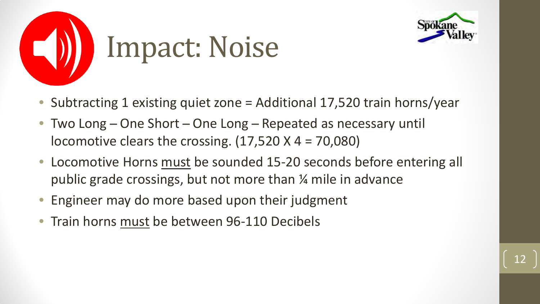

- Subtracting 1 existing quiet zone = Additional 17,520 train horns/year
- Two Long One Short One Long Repeated as necessary until locomotive clears the crossing.  $(17,520 \times 4 = 70,080)$
- Locomotive Horns must be sounded 15-20 seconds before entering all public grade crossings, but not more than ¼ mile in advance
- Engineer may do more based upon their judgment
- Train horns must be between 96-110 Decibels



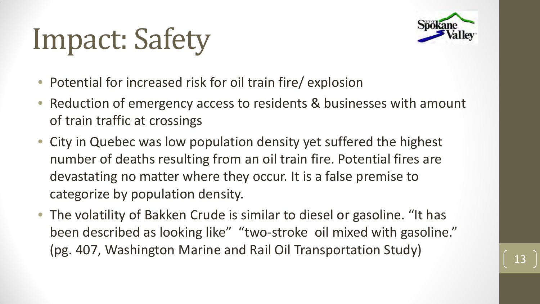### Impact: Safety

- Potential for increased risk for oil train fire/ explosion
- Reduction of emergency access to residents & businesses with amount of train traffic at crossings
- City in Quebec was low population density yet suffered the highest number of deaths resulting from an oil train fire. Potential fires are devastating no matter where they occur. It is a false premise to categorize by population density.
- The volatility of Bakken Crude is similar to diesel or gasoline. "It has been described as looking like" "two-stroke oil mixed with gasoline." (pg. 407, Washington Marine and Rail Oil Transportation Study)



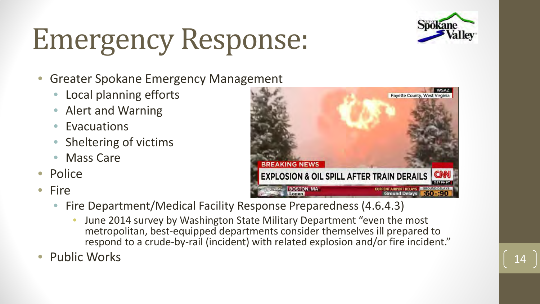### Emergency Response:

- Greater Spokane Emergency Management
	- Local planning efforts
	- Alert and Warning
	- **Evacuations**
	- Sheltering of victims
	- **Mass Care**
- **Police**
- Fire
- **BREAKING NEWS EXPLOSION & OIL SPILL AFTER TRAIN DERAILS BOSTON, MA Ground Delay**
- Fire Department/Medical Facility Response Preparedness (4.6.4.3)
	- June 2014 survey by Washington State Military Department "even the most metropolitan, best-equipped departments consider themselves ill prepared to respond to a crude-by-rail (incident) with related explosion and/or fire incident."
- Public Works (14)





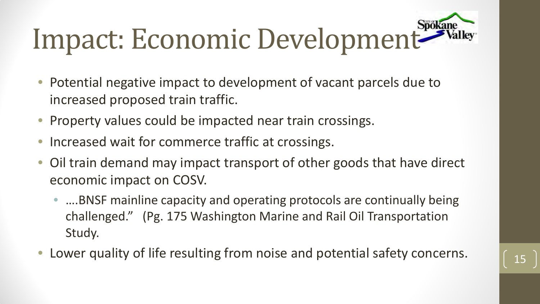## Impact: Economic Development<sup>Spokane</sup>

- Potential negative impact to development of vacant parcels due to increased proposed train traffic.
- Property values could be impacted near train crossings.
- Increased wait for commerce traffic at crossings.
- Oil train demand may impact transport of other goods that have direct economic impact on COSV.
	- ....BNSF mainline capacity and operating protocols are continually being challenged." (Pg. 175 Washington Marine and Rail Oil Transportation Study.
- Lower quality of life resulting from noise and potential safety concerns.



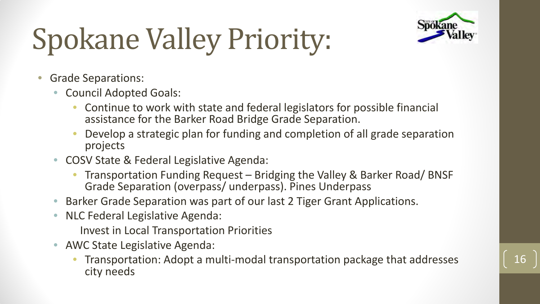## Spokane Valley Priority:



- Grade Separations:
	- Council Adopted Goals:
		- Continue to work with state and federal legislators for possible financial assistance for the Barker Road Bridge Grade Separation.
		- Develop a strategic plan for funding and completion of all grade separation projects
	- COSV State & Federal Legislative Agenda:
		- Transportation Funding Request Bridging the Valley & Barker Road/ BNSF Grade Separation (overpass/ underpass). Pines Underpass
	- Barker Grade Separation was part of our last 2 Tiger Grant Applications.
	- NLC Federal Legislative Agenda:
		- Invest in Local Transportation Priorities
	- AWC State Legislative Agenda:
		- Transportation: Adopt a multi-modal transportation package that addresses city needs

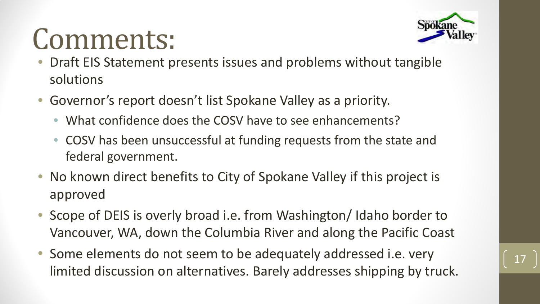### Comments:



- Draft EIS Statement presents issues and problems without tangible solutions
- Governor's report doesn't list Spokane Valley as a priority.
	- What confidence does the COSV have to see enhancements?
	- COSV has been unsuccessful at funding requests from the state and federal government.
- No known direct benefits to City of Spokane Valley if this project is approved
- Scope of DEIS is overly broad i.e. from Washington/Idaho border to Vancouver, WA, down the Columbia River and along the Pacific Coast
- Some elements do not seem to be adequately addressed i.e. very limited discussion on alternatives. Barely addresses shipping by truck.

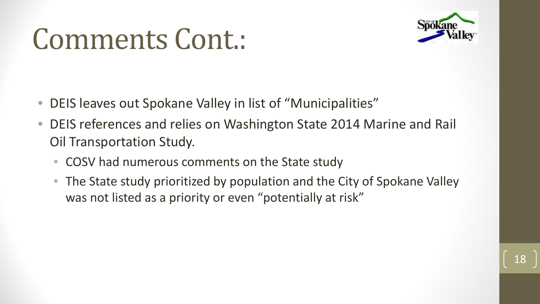### Comments Cont.:

- DEIS leaves out Spokane Valley in list of "Municipalities"
- DEIS references and relies on Washington State 2014 Marine and Rail Oil Transportation Study.
	- COSV had numerous comments on the State study
	- The State study prioritized by population and the City of Spokane Valley was not listed as a priority or even "potentially at risk"



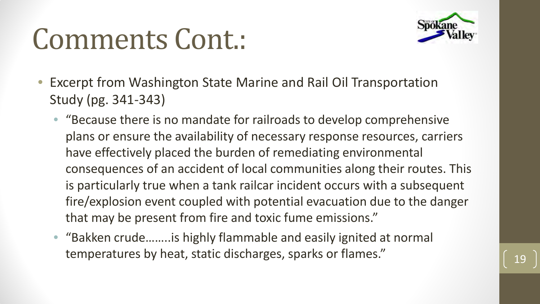### Comments Cont.:



- Excerpt from Washington State Marine and Rail Oil Transportation Study (pg. 341-343)
	- "Because there is no mandate for railroads to develop comprehensive plans or ensure the availability of necessary response resources, carriers have effectively placed the burden of remediating environmental consequences of an accident of local communities along their routes. This is particularly true when a tank railcar incident occurs with a subsequent fire/explosion event coupled with potential evacuation due to the danger that may be present from fire and toxic fume emissions."
	- "Bakken crude……..is highly flammable and easily ignited at normal temperatures by heat, static discharges, sparks or flames."

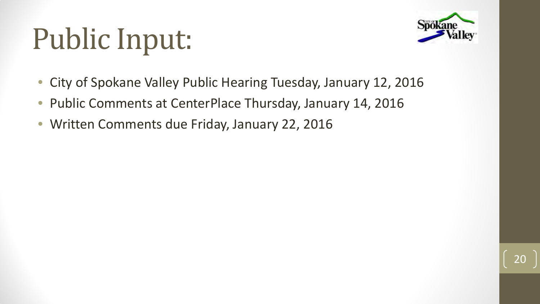### Public Input:



- City of Spokane Valley Public Hearing Tuesday, January 12, 2016
- Public Comments at CenterPlace Thursday, January 14, 2016
- Written Comments due Friday, January 22, 2016

20